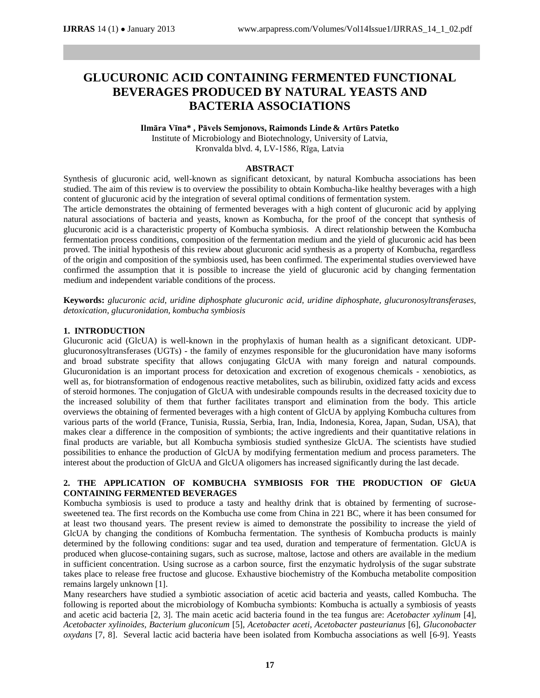# **GLUCURONIC ACID CONTAINING FERMENTED FUNCTIONAL BEVERAGES PRODUCED BY NATURAL YEASTS AND BACTERIA ASSOCIATIONS**

#### **Ilmāra Vīna\* , Pāvels Semjonovs, Raimonds Linde & Artūrs Patetko**

Institute of Microbiology and Biotechnology, University of Latvia, Kronvalda blvd. 4, LV-1586, Rīga, Latvia

### **ABSTRACT**

Synthesis of glucuronic acid, well-known as significant detoxicant, by natural Kombucha associations has been studied. The aim of this review is to overview the possibility to obtain Kombucha-like healthy beverages with a high content of glucuronic acid by the integration of several optimal conditions of fermentation system.

The article demonstrates the obtaining of fermented beverages with a high content of glucuronic acid by applying natural associations of bacteria and yeasts, known as Kombucha, for the proof of the concept that synthesis of glucuronic acid is a characteristic property of Kombucha symbiosis. A direct relationship between the Kombucha fermentation process conditions, composition of the fermentation medium and the yield of glucuronic acid has been proved. The initial hypothesis of this review about glucuronic acid synthesis as a property of Kombucha, regardless of the origin and composition of the symbiosis used, has been confirmed. The experimental studies overviewed have confirmed the assumption that it is possible to increase the yield of glucuronic acid by changing fermentation medium and independent variable conditions of the process.

**Keywords:** *glucuronic acid, uridine diphosphate glucuronic acid, uridine diphosphate, glucuronosyltransferases, detoxication, glucuronidation, kombucha symbiosis*

## **1. INTRODUCTION**

Glucuronic acid (GlcUA) is well-known in the prophylaxis of human health as a significant detoxicant. UDPglucuronosyltransferases (UGTs) - the family of enzymes responsible for the glucuronidation have many isoforms and broad substrate specifity that allows conjugating GlcUA with many foreign and natural compounds. Glucuronidation is an important process for detoxication and excretion of exogenous chemicals - xenobiotics, as well as, for biotransformation of endogenous reactive metabolites, such as bilirubin, oxidized fatty acids and excess of steroid hormones. The conjugation of GlcUA with undesirable compounds results in the decreased toxicity due to the increased solubility of them that further facilitates transport and elimination from the body. This article overviews the obtaining of fermented beverages with a high content of GlcUA by applying Kombucha cultures from various parts of the world (France, Tunisia, Russia, Serbia, Iran, India, Indonesia, Korea, Japan, Sudan, USA), that makes clear a difference in the composition of symbionts; the active ingredients and their quantitative relations in final products are variable, but all Kombucha symbiosis studied synthesize GlcUA. The scientists have studied possibilities to enhance the production of GlcUA by modifying fermentation medium and process parameters. The interest about the production of GlcUA and GlcUA oligomers has increased significantly during the last decade.

## **2. THE APPLICATION OF KOMBUCHA SYMBIOSIS FOR THE PRODUCTION OF GlcUA CONTAINING FERMENTED BEVERAGES**

Kombucha symbiosis is used to produce a tasty and healthy drink that is obtained by fermenting of sucrosesweetened tea. The first records on the Kombucha use come from China in 221 BC, where it has been consumed for at least two thousand years. The present review is aimed to demonstrate the possibility to increase the yield of GlcUA by changing the conditions of Kombucha fermentation. The synthesis of Kombucha products is mainly determined by the following conditions: sugar and tea used, duration and temperature of fermentation. GlcUA is produced when glucose-containing sugars, such as sucrose, maltose, lactose and others are available in the medium in sufficient concentration. Using sucrose as a carbon source, first the enzymatic hydrolysis of the sugar substrate takes place to release free fructose and glucose. Exhaustive biochemistry of the Kombucha metabolite composition remains largely unknown [1].

Many researchers have studied a symbiotic association of acetic acid bacteria and yeasts, called Kombucha. The following is reported about the microbiology of Kombucha symbionts: Kombucha is actually a symbiosis of yeasts and acetic acid bacteria [2, 3]. The main acetic acid bacteria found in the tea fungus are: *Acetobacter xylinum* [4], *Acetobacter xylinoides, Bacterium gluconicum* [5], *Acetobacter aceti, Acetobacter pasteurianus* [6], *Gluconobacter oxydans* [7, 8]. Several lactic acid bacteria have been isolated from Kombucha associations as well [6-9]. Yeasts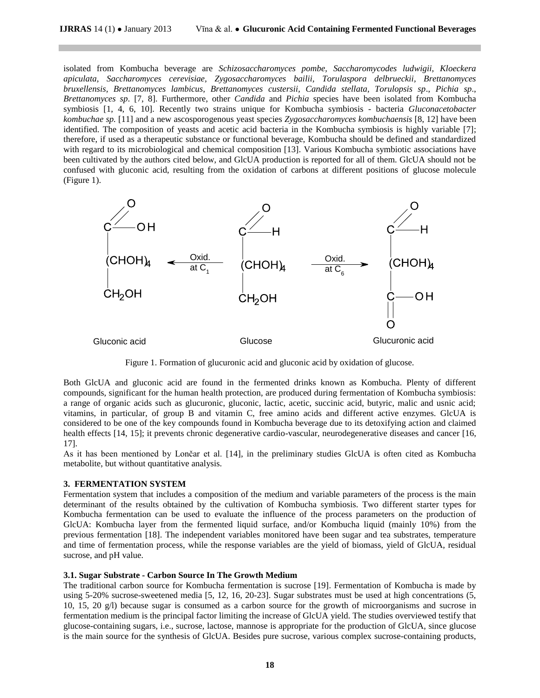isolated from Kombucha beverage are *Schizosaccharomyces pombe, Saccharomycodes ludwigii, Kloeckera apiculata, Saccharomyces cerevisiae, Zygosaccharomyces bailii, Torulaspora delbrueckii, Brettanomyces bruxellensis, Brettanomyces lambicus, Brettanomyces custersii, Candida stellata, Torulopsis sp*., *Pichia sp*., *Brettanomyces sp*. [7, 8]. Furthermore, other *Candida* and *Pichia* species have been isolated from Kombucha symbiosis [1, 4, 6, 10]. Recently two strains unique for Kombucha symbiosis - bacteria *Gluconacetobacter kombuchae sp.* [11] and a new ascosporogenous yeast species *Zygosaccharomyces kombuchaensis* [8, 12] have been identified. The composition of yeasts and acetic acid bacteria in the Kombucha symbiosis is highly variable [7]; therefore, if used as a therapeutic substance or functional beverage, Kombucha should be defined and standardized with regard to its microbiological and chemical composition [13]. Various Kombucha symbiotic associations have been cultivated by the authors cited below, and GlcUA production is reported for all of them. GlcUA should not be confused with gluconic acid, resulting from the oxidation of carbons at different positions of glucose molecule (Figure 1).



Figure 1. Formation of glucuronic acid and gluconic acid by oxidation of glucose.

Both GlcUA and gluconic acid are found in the fermented drinks known as Kombucha. Plenty of different compounds, significant for the human health protection, are produced during fermentation of Kombucha symbiosis: a range of organic acids such as glucuronic, gluconic, lactic, acetic, succinic acid, butyric, malic and usnic acid; vitamins, in particular, of group B and vitamin C, free amino acids and different active enzymes. GlcUA is considered to be one of the key compounds found in Kombucha beverage due to its detoxifying action and claimed health effects [14, 15]; it prevents chronic degenerative cardio-vascular, neurodegenerative diseases and cancer [16, 17].

As it has been mentioned by Lončar et al. [14], in the preliminary studies GlcUA is often cited as Kombucha metabolite, but without quantitative analysis.

### **3. FERMENTATION SYSTEM**

Fermentation system that includes a composition of the medium and variable parameters of the process is the main determinant of the results obtained by the cultivation of Kombucha symbiosis. Two different starter types for Kombucha fermentation can be used to evaluate the influence of the process parameters on the production of GlcUA: Kombucha layer from the fermented liquid surface, and/or Kombucha liquid (mainly 10%) from the previous fermentation [18]. The independent variables monitored have been sugar and tea substrates, temperature and time of fermentation process, while the response variables are the yield of biomass, yield of GlcUA, residual sucrose, and pH value.

#### **3.1. Sugar Substrate - Carbon Source In The Growth Medium**

The traditional carbon source for Kombucha fermentation is sucrose [19]. Fermentation of Kombucha is made by using 5-20% sucrose-sweetened media [5, 12, 16, 20-23]. Sugar substrates must be used at high concentrations (5, 10, 15, 20 g/l) because sugar is consumed as a carbon source for the growth of microorganisms and sucrose in fermentation medium is the principal factor limiting the increase of GlcUA yield. The studies overviewed testify that glucose-containing sugars, i.e., sucrose, lactose, mannose is appropriate for the production of GlcUA, since glucose is the main source for the synthesis of GlcUA. Besides pure sucrose, various complex sucrose-containing products,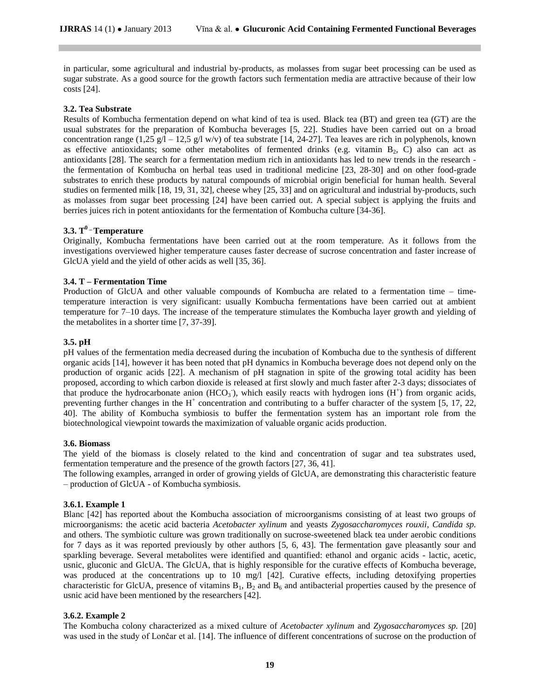in particular, some agricultural and industrial by-products, as molasses from sugar beet processing can be used as sugar substrate. As a good source for the growth factors such fermentation media are attractive because of their low costs [24].

## **3.2. Tea Substrate**

Results of Kombucha fermentation depend on what kind of tea is used. Black tea (BT) and green tea (GT) are the usual substrates for the preparation of Kombucha beverages [5, 22]. Studies have been carried out on a broad concentration range  $(1,25 \text{ g}/\text{l} - 12,5 \text{ g}/\text{l w/v})$  of tea substrate [14, 24-27]. Tea leaves are rich in polyphenols, known as effective antioxidants; some other metabolites of fermented drinks (e.g. vitamin B<sub>2</sub>, C) also can act as antioxidants [28]. The search for a fermentation medium rich in antioxidants has led to new trends in the research the fermentation of Kombucha on herbal teas used in traditional medicine [23, 28-30] and on other food-grade substrates to enrich these products by natural compounds of microbial origin beneficial for human health. Several studies on fermented milk [18, 19, 31, 32], cheese whey [25, 33] and on agricultural and industrial by-products, such as molasses from sugar beet processing [24] have been carried out. A special subject is applying the fruits and berries juices rich in potent antioxidants for the fermentation of Kombucha culture [34-36].

# **3.3. T 0 \_ Temperature**

Originally, Kombucha fermentations have been carried out at the room temperature. As it follows from the investigations overviewed higher temperature causes faster decrease of sucrose concentration and faster increase of GlcUA yield and the yield of other acids as well [35, 36].

## **3.4. T – Fermentation Time**

Production of GlcUA and other valuable compounds of Kombucha are related to a fermentation time – timetemperature interaction is very significant: usually Kombucha fermentations have been carried out at ambient temperature for 7–10 days. The increase of the temperature stimulates the Kombucha layer growth and yielding of the metabolites in a shorter time [7, 37-39].

## **3.5. pH**

pH values of the fermentation media decreased during the incubation of Kombucha due to the synthesis of different organic acids [14], however it has been noted that pH dynamics in Kombucha beverage does not depend only on the production of organic acids [22]. A mechanism of pH stagnation in spite of the growing total acidity has been proposed, according to which carbon dioxide is released at first slowly and much faster after 2-3 days; dissociates of that produce the hydrocarbonate anion  $(HCO<sub>3</sub>)$ , which easily reacts with hydrogen ions  $(H<sup>+</sup>)$  from organic acids, preventing further changes in the  $H^+$  concentration and contributing to a buffer character of the system [5, 17, 22, 40]. The ability of Kombucha symbiosis to buffer the fermentation system has an important role from the biotechnological viewpoint towards the maximization of valuable organic acids production.

### **3.6. Biomass**

The yield of the biomass is closely related to the kind and concentration of sugar and tea substrates used, fermentation temperature and the presence of the growth factors [27, 36, 41].

The following examples, arranged in order of growing yields of GlcUA, are demonstrating this characteristic feature – production of GlcUA - of Kombucha symbiosis.

### **3.6.1. Example 1**

Blanc [42] has reported about the Kombucha association of microorganisms consisting of at least two groups of microorganisms: the acetic acid bacteria *Acetobacter xylinum* and yeasts *Zygosaccharomyces rouxii*, *Candida sp.*  and others. The symbiotic culture was grown traditionally on sucrose-sweetened black tea under aerobic conditions for 7 days as it was reported previously by other authors [5, 6, 43]. The fermentation gave pleasantly sour and sparkling beverage. Several metabolites were identified and quantified: ethanol and organic acids - lactic, acetic, usnic, gluconic and GlcUA. The GlcUA, that is highly responsible for the curative effects of Kombucha beverage, was produced at the concentrations up to 10 mg/l [42]. Curative effects, including detoxifying properties characteristic for GlcUA, presence of vitamins  $B_1$ ,  $B_2$  and  $B_6$  and antibacterial properties caused by the presence of usnic acid have been mentioned by the researchers [42].

### **3.6.2. Example 2**

The Kombucha colony characterized as a mixed culture of *Acetobacter xylinum* and *Zygosaccharomyces sp.* [20] was used in the study of Lončar et al. [14]. The influence of different concentrations of sucrose on the production of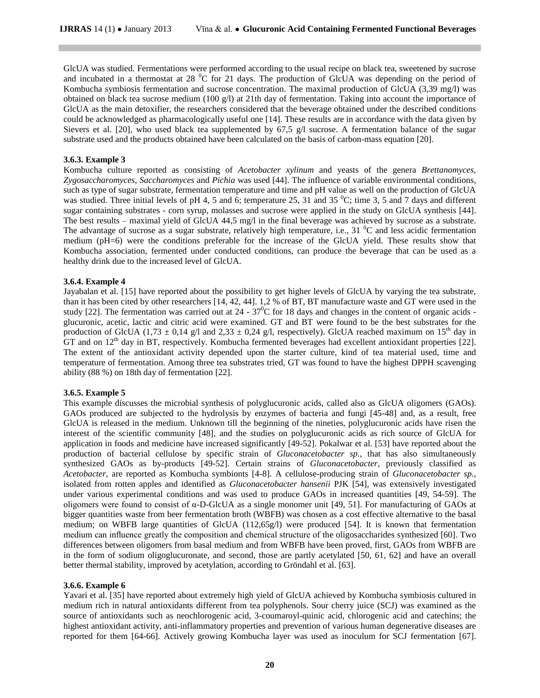GlcUA was studied. Fermentations were performed according to the usual recipe on black tea, sweetened by sucrose and incubated in a thermostat at 28  $\rm{^0C}$  for 21 days. The production of GlcUA was depending on the period of Kombucha symbiosis fermentation and sucrose concentration. The maximal production of GlcUA (3,39 mg/l) was obtained on black tea sucrose medium (100 g/l) at 21th day of fermentation. Taking into account the importance of GlcUA as the main detoxifier, the researchers considered that the beverage obtained under the described conditions could be acknowledged as pharmacologically useful one [14]. These results are in accordance with the data given by Sievers et al. [20], who used black tea supplemented by 67,5  $\alpha$ /l sucrose. A fermentation balance of the sugar substrate used and the products obtained have been calculated on the basis of carbon-mass equation [20].

# **3.6.3. Example 3**

Kombucha culture reported as consisting of *Acetobacter xylinum* and yeasts of the genera *Brettanomyces*, *Zygosaccharomyces*, *Saccharomyces* and *Pichia* was used [44]. The influence of variable environmental conditions, such as type of sugar substrate, fermentation temperature and time and pH value as well on the production of GlcUA was studied. Three initial levels of pH 4, 5 and 6; temperature 25, 31 and 35  $^{\circ}$ C; time 3, 5 and 7 days and different sugar containing substrates - corn syrup, molasses and sucrose were applied in the study on GlcUA synthesis [44]. The best results – maximal yield of GlcUA 44,5 mg/l in the final beverage was achieved by sucrose as a substrate. The advantage of sucrose as a sugar substrate, relatively high temperature, i.e., 31  $\rm{^0C}$  and less acidic fermentation medium (pH=6) were the conditions preferable for the increase of the GlcUA yield. These results show that Kombucha association, fermented under conducted conditions, can produce the beverage that can be used as a healthy drink due to the increased level of GlcUA.

## **3.6.4. Example 4**

Jayabalan et al. [15] have reported about the possibility to get higher levels of GlcUA by varying the tea substrate, than it has been cited by other researchers [14, 42, 44]. 1,2 % of BT, BT manufacture waste and GT were used in the study [22]. The fermentation was carried out at  $24 - 37^{\circ}$ C for 18 days and changes in the content of organic acids glucuronic, acetic, lactic and citric acid were examined. GT and BT were found to be the best substrates for the production of GlcUA (1,73  $\pm$  0,14 g/l and 2,33  $\pm$  0,24 g/l, respectively). GlcUA reached maximum on 15<sup>th</sup> day in GT and on  $12<sup>th</sup>$  day in BT, respectively. Kombucha fermented beverages had excellent antioxidant properties [22]. The extent of the antioxidant activity depended upon the starter culture, kind of tea material used, time and temperature of fermentation. Among three tea substrates tried, GT was found to have the highest DPPH scavenging ability (88 %) on 18th day of fermentation [22].

### **3.6.5. Example 5**

This example discusses the microbial synthesis of polyglucuronic acids, called also as GlcUA oligomers (GAOs). GAOs produced are subjected to the hydrolysis by enzymes of bacteria and fungi [45-48] and, as a result, free GlcUA is released in the medium. Unknown till the beginning of the nineties, polyglucuronic acids have risen the interest of the scientific community [48], and the studies on polyglucuronic acids as rich source of GlcUA for application in foods and medicine have increased significantly [49-52]. Pokalwar et al. [53] have reported about the production of bacterial cellulose by specific strain of *Gluconacetobacter sp.*, that has also simultaneously synthesized GAOs as by-products [49-52]. Certain strains of *Gluconacetobacter*, previously classified as *Acetobacter,* are reported as Kombucha symbionts [4-8]. A cellulose-producing strain of *Gluconacetobacter sp.,* isolated from rotten apples and identified as *Gluconacetobacter hansenii* PJK [54], was extensively investigated under various experimental conditions and was used to produce GAOs in increased quantities [49, 54-59]. The oligomers were found to consist of α-D-GlcUA as a single monomer unit [49, 51]. For manufacturing of GAOs at bigger quantities waste from beer fermentation broth (WBFB) was chosen as a cost effective alternative to the basal medium; on WBFB large quantities of GlcUA  $(112,65g/1)$  were produced [54]. It is known that fermentation medium can influence greatly the composition and chemical structure of the oligosaccharides synthesized [60]. Two differences between oligomers from basal medium and from WBFB have been proved, first, GAOs from WBFB are in the form of sodium oligoglucuronate, and second, those are partly acetylated [50, 61, 62] and have an overall better thermal stability, improved by acetylation, according to Gröndahl et al. [63].

### **3.6.6. Example 6**

Yavari et al. [35] have reported about extremely high yield of GlcUA achieved by Kombucha symbiosis cultured in medium rich in natural antioxidants different from tea polyphenols. Sour cherry juice (SCJ) was examined as the source of antioxidants such as neochlorogenic acid, 3-coumaroyl-quinic acid, chlorogenic acid and catechins; the highest antioxidant activity, anti-inflammatory properties and prevention of various human degenerative diseases are reported for them [64-66]. Actively growing Kombucha layer was used as inoculum for SCJ fermentation [67].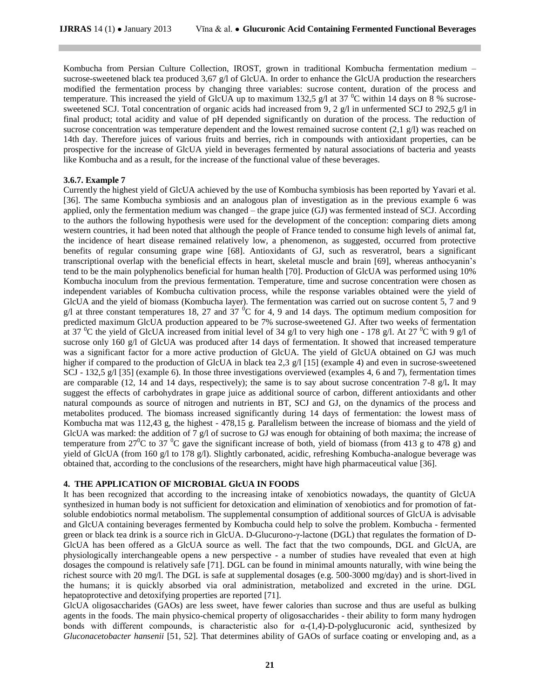Kombucha from Persian Culture Collection, IROST, grown in traditional Kombucha fermentation medium – sucrose-sweetened black tea produced 3,67 g/l of GlcUA. In order to enhance the GlcUA production the researchers modified the fermentation process by changing three variables: sucrose content, duration of the process and temperature. This increased the yield of GlcUA up to maximum 132,5 g/l at 37  $\degree$ C within 14 days on 8 % sucrosesweetened SCJ. Total concentration of organic acids had increased from 9, 2 g/l in unfermented SCJ to 292,5 g/l in final product; total acidity and value of pH depended significantly on duration of the process. The reduction of sucrose concentration was temperature dependent and the lowest remained sucrose content  $(2,1, 2/1)$  was reached on 14th day. Therefore juices of various fruits and berries, rich in compounds with antioxidant properties, can be prospective for the increase of GlcUA yield in beverages fermented by natural associations of bacteria and yeasts like Kombucha and as a result, for the increase of the functional value of these beverages.

#### **3.6.7. Example 7**

Currently the highest yield of GlcUA achieved by the use of Kombucha symbiosis has been reported by Yavari et al. [36]. The same Kombucha symbiosis and an analogous plan of investigation as in the previous example 6 was applied, only the fermentation medium was changed – the grape juice (GJ) was fermented instead of SCJ. According to the authors the following hypothesis were used for the development of the conception: comparing diets among western countries, it had been noted that although the people of France tended to consume high levels of animal fat, the incidence of heart disease remained relatively low, a phenomenon, as suggested, occurred from protective benefits of regular consuming grape wine [68]. Antioxidants of GJ, such as resveratrol, bears a significant transcriptional overlap with the beneficial effects in heart, skeletal muscle and brain [69], whereas anthocyanin"s tend to be the main polyphenolics beneficial for human health [70]. Production of GlcUA was performed using 10% Kombucha inoculum from the previous fermentation. Temperature, time and sucrose concentration were chosen as independent variables of Kombucha cultivation process, while the response variables obtained were the yield of GlcUA and the yield of biomass (Kombucha layer). The fermentation was carried out on sucrose content 5, 7 and 9 g/l at three constant temperatures 18, 27 and 37  $^{0}C$  for 4, 9 and 14 days. The optimum medium composition for predicted maximum GlcUA production appeared to be 7% sucrose-sweetened GJ. After two weeks of fermentation at 37 <sup>o</sup>C the yield of GlcUA increased from initial level of 34 g/l to very high one - 178 g/l. At 27 <sup>o</sup>C with 9 g/l of sucrose only 160 g/l of GlcUA was produced after 14 days of fermentation. It showed that increased temperature was a significant factor for a more active production of GlcUA. The yield of GlcUA obtained on GJ was much higher if compared to the production of GlcUA in black tea 2,3 g/l [15] (example 4) and even in sucrose-sweetened SCJ - 132,5 g/l [35] (example 6). In those three investigations overviewed (examples 4, 6 and 7), fermentation times are comparable (12, 14 and 14 days, respectively); the same is to say about sucrose concentration 7-8 g/l**.** It may suggest the effects of carbohydrates in grape juice as additional source of carbon, different antioxidants and other natural compounds as source of nitrogen and nutrients in BT, SCJ and GJ, on the dynamics of the process and metabolites produced. The biomass increased significantly during 14 days of fermentation: the lowest mass of Kombucha mat was 112,43 g, the highest - 478,15 g. Parallelism between the increase of biomass and the yield of GlcUA was marked: the addition of 7 g/l of sucrose to GJ was enough for obtaining of both maxima; the increase of temperature from 27<sup>0</sup>C to 37<sup>0</sup>C gave the significant increase of both, yield of biomass (from 413 g to 478 g) and yield of GlcUA (from 160 g/l to 178 g/l). Slightly carbonated, acidic, refreshing Kombucha-analogue beverage was obtained that, according to the conclusions of the researchers, might have high pharmaceutical value [36].

#### **4. THE APPLICATION OF MICROBIAL GlcUA IN FOODS**

It has been recognized that according to the increasing intake of xenobiotics nowadays, the quantity of GlcUA synthesized in human body is not sufficient for detoxication and elimination of xenobiotics and for promotion of fatsoluble endobiotics normal metabolism. The supplemental consumption of additional sources of GlcUA is advisable and GlcUA containing beverages fermented by Kombucha could help to solve the problem. Kombucha - fermented green or black tea drink is a source rich in GlcUA. D-Glucurono-γ-lactone (DGL) that regulates the formation of D-GlcUA has been offered as a GlcUA source as well. The fact that the two compounds, DGL and GlcUA, are physiologically interchangeable opens a new perspective - a number of studies have revealed that even at high dosages the compound is relatively safe [71]. DGL can be found in minimal amounts naturally, with wine being the richest source with 20 mg/l. The DGL is safe at supplemental dosages (e.g. 500-3000 mg/day) and is short-lived in the humans; it is quickly absorbed via oral administration, metabolized and excreted in the urine. DGL hepatoprotective and detoxifying properties are reported [71].

GlcUA oligosaccharides (GAOs) are less sweet, have fewer calories than sucrose and thus are useful as bulking agents in the foods. The main physico-chemical property of oligosaccharides - their ability to form many hydrogen bonds with different compounds, is characteristic also for  $\alpha$ -(1,4)-D-polyglucuronic acid, synthesized by *Gluconacetobacter hansenii* [51, 52]. That determines ability of GAOs of surface coating or enveloping and, as a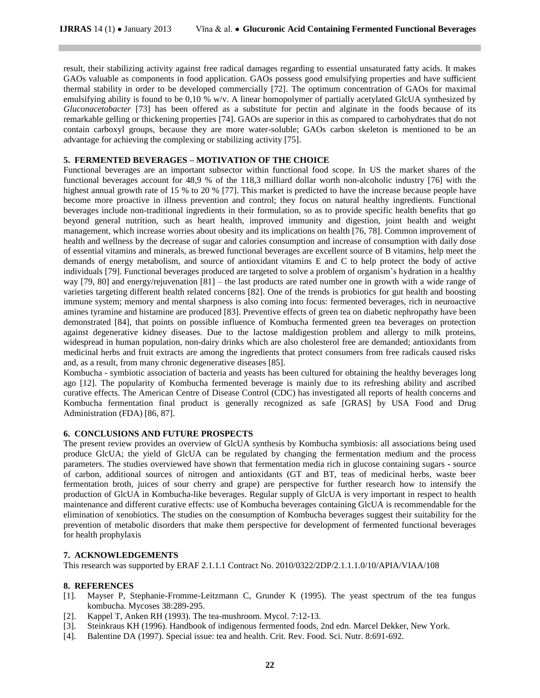result, their stabilizing activity against free radical damages regarding to essential unsaturated fatty acids. It makes GAOs valuable as components in food application. GAOs possess good emulsifying properties and have sufficient thermal stability in order to be developed commercially [72]. The optimum concentration of GAOs for maximal emulsifying ability is found to be 0,10 % w/v. A linear homopolymer of partially acetylated GlcUA synthesized by *Gluconacetobacter* [73] has been offered as a substitute for pectin and alginate in the foods because of its remarkable gelling or thickening properties [74]. GAOs are superior in this as compared to carbohydrates that do not contain carboxyl groups, because they are more water-soluble; GAOs carbon skeleton is mentioned to be an advantage for achieving the complexing or stabilizing activity [75].

## **5. FERMENTED BEVERAGES – MOTIVATION OF THE CHOICE**

Functional beverages are an important subsector within functional food scope. In US the market shares of the functional beverages account for 48,9 % of the 118,3 milliard dollar worth non-alcoholic industry [76] with the highest annual growth rate of 15 % to 20 % [77]. This market is predicted to have the increase because people have become more proactive in illness prevention and control; they focus on natural healthy ingredients. Functional beverages include non-traditional ingredients in their formulation, so as to provide specific health benefits that go beyond general nutrition, such as heart health, improved immunity and digestion, joint health and weight management, which increase worries about obesity and its implications on health [76, 78]. Common improvement of health and wellness by the decrease of sugar and calories consumption and increase of consumption with daily dose of essential vitamins and minerals, as brewed functional beverages are excellent source of B vitamins, help meet the demands of energy metabolism, and source of antioxidant vitamins E and C to help protect the body of active individuals [79]. Functional beverages produced are targeted to solve a problem of organism"s hydration in a healthy way [79, 80] and energy/rejuvenation [81] – the last products are rated number one in growth with a wide range of varieties targeting different health related concerns [82]. One of the trends is probiotics for gut health and boosting immune system; memory and mental sharpness is also coming into focus: fermented beverages, rich in neuroactive amines tyramine and histamine are produced [83]. Preventive effects of green tea on diabetic nephropathy have been demonstrated [84], that points on possible influence of Kombucha fermented green tea beverages on protection against degenerative kidney diseases. Due to the lactose maldigestion problem and allergy to milk proteins, widespread in human population, non-dairy drinks which are also cholesterol free are demanded; antioxidants from medicinal herbs and fruit extracts are among the ingredients that protect consumers from free radicals caused risks and, as a result, from many chronic degenerative diseases [85].

Kombucha - symbiotic association of bacteria and yeasts has been cultured for obtaining the healthy beverages long ago [12]. The popularity of Kombucha fermented beverage is mainly due to its refreshing ability and ascribed curative effects. The American Centre of Disease Control (CDC) has investigated all reports of health concerns and Kombucha fermentation final product is generally recognized as safe [GRAS] by USA Food and Drug Administration (FDA) [86, 87].

# **6. CONCLUSIONS AND FUTURE PROSPECTS**

The present review provides an overview of GlcUA synthesis by Kombucha symbiosis: all associations being used produce GlcUA; the yield of GlcUA can be regulated by changing the fermentation medium and the process parameters. The studies overviewed have shown that fermentation media rich in glucose containing sugars **-** source of carbon, additional sources of nitrogen and antioxidants (GT and BT, teas of medicinal herbs, waste beer fermentation broth, juices of sour cherry and grape) are perspective for further research how to intensify the production of GlcUA in Kombucha-like beverages. Regular supply of GlcUA is very important in respect to health maintenance and different curative effects: use of Kombucha beverages containing GlcUA is recommendable for the elimination of xenobiotics. The studies on the consumption of Kombucha beverages suggest their suitability for the prevention of metabolic disorders that make them perspective for development of fermented functional beverages for health prophylaxis

### **7. ACKNOWLEDGEMENTS**

This research was supported by ERAF 2.1.1.1 Contract No. 2010/0322/2DP/2.1.1.1.0/10/APIA/VIAA/108

### **8. REFERENCES**

- [1]. Mayser P, Stephanie-Fromme-Leitzmann C, Grunder K (1995). The yeast spectrum of the tea fungus kombucha. Mycoses 38:289-295.
- [2]. Kappel T, Anken RH (1993). The tea-mushroom. Mycol. 7:12-13.
- [3]. Steinkraus KH (1996). Handbook of indigenous fermented foods, 2nd edn. Marcel Dekker, New York.
- [4]. Balentine DA (1997). Special issue: tea and health. Crit. Rev. Food. Sci. Nutr. 8:691-692.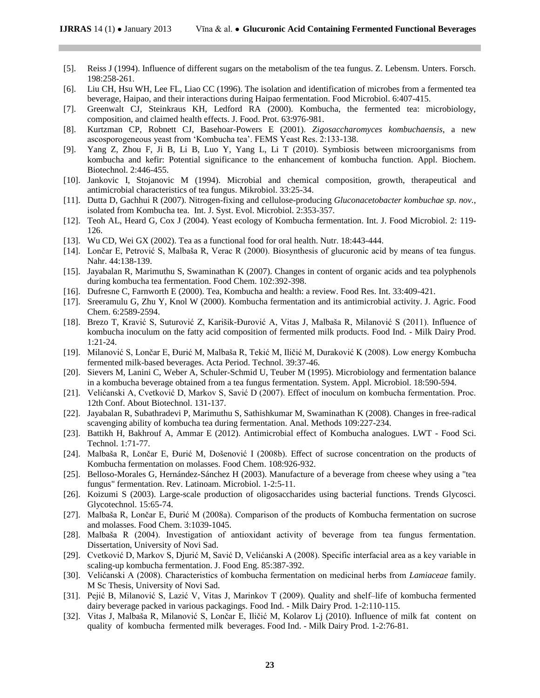- [5]. Reiss J (1994). Influence of different sugars on the metabolism of the tea fungus. Z. Lebensm. Unters. Forsch. 198:258-261.
- [6]. Liu CH, Hsu WH, Lee FL, Liao CC (1996). The isolation and identification of microbes from a fermented tea beverage, Haipao, and their interactions during Haipao fermentation. Food Microbiol. 6:407-415.
- [7]. Greenwalt CJ, Steinkraus KH, Ledford RA (2000). Kombucha, the fermented tea: microbiology, composition, and claimed health effects. J. Food. Prot. 63:976-981.
- [8]. Kurtzman CP, Robnett CJ, Basehoar-Powers E (2001). *Zigosaccharomyces kombuchaensis*, a new ascosporogeneous yeast from "Kombucha tea". FEMS Yeast Res. 2:133-138.
- [9]. Yang Z, Zhou F, Ji B, Li B, Luo Y, Yang L, Li T (2010). Symbiosis between microorganisms from kombucha and kefir: Potential significance to the enhancement of kombucha function. Appl. Biochem. Biotechnol. 2:446-455.
- [10]. Jankovic I, Stojanovic M (1994). Microbial and chemical composition, growth, therapeutical and antimicrobial characteristics of tea fungus. Mikrobiol. 33:25-34.
- [11]. Dutta D, Gachhui R (2007). Nitrogen-fixing and cellulose-producing *Gluconacetobacter kombuchae sp. nov.*, isolated from Kombucha tea. Int. J. Syst. Evol. Microbiol. 2:353-357.
- [12]. Teoh AL, Heard G, Cox J (2004). Yeast ecology of Kombucha fermentation. Int. J. Food Microbiol. 2: 119- 126.
- [13]. Wu CD, Wei GX (2002). Tea as a functional food for oral health. Nutr. 18:443-444.
- [14]. Lončar E, Petrović S, Malbaša R, Verac R (2000). Biosynthesis of glucuronic acid by means of tea fungus. Nahr. 44:138-139.
- [15]. Jayabalan R, Marimuthu S, Swaminathan K (2007). Changes in content of organic acids and tea polyphenols during kombucha tea fermentation. Food Chem. 102:392-398.
- [16]. Dufresne C, Farnworth E (2000). Tea, Kombucha and health: a review. Food Res. Int. 33:409-421.
- [17]. Sreeramulu G, Zhu Y, Knol W (2000). Kombucha fermentation and its antimicrobial activity. J. Agric. Food Chem. 6:2589-2594.
- [18]. Brezo T, Kravić S, Suturović Z, Karišik-Đurović A, Vitas J, Malbaša R, Milanović S (2011). Influence of kombucha inoculum on the fatty acid composition of fermented milk products. Food Ind. - Milk Dairy Prod. 1:21-24.
- [19]. Milanović S, Lončar E, Đurić M, Malbaša R, Tekić M, Iličić M, Duraković K (2008). Low energy Kombucha fermented milk-based beverages. Acta Period. Technol. 39:37-46.
- [20]. Sievers M, Lanini C, Weber A, Schuler-Schmid U, Teuber M (1995). Microbiology and fermentation balance in a kombucha beverage obtained from a tea fungus fermentation. System. Appl. Microbiol. 18:590-594.
- [21]. Velićanski A, Cvetković D, Markov S, Savić D (2007). Effect of inoculum on kombucha fermentation. Proc. 12th Conf. About Biotechnol. 131-137.
- [22]. Jayabalan R, Subathradevi P, Marimuthu S, Sathishkumar M, Swaminathan K (2008). Changes in free-radical scavenging ability of kombucha tea during fermentation. Anal. Methods 109:227-234.
- [23]. Battikh H, Bakhrouf A, Ammar E (2012). Antimicrobial effect of Kombucha analogues. LWT Food Sci. Technol. 1:71-77.
- [24]. Malbaša R, Lončar E, Đurić M, Došenović I (2008b). Effect of sucrose concentration on the products of Kombucha fermentation on molasses. Food Chem. 108:926-932.
- [25]. Belloso-Morales G, Hernández-Sánchez H (2003). Manufacture of a beverage from cheese whey using a "tea fungus" fermentation. Rev. Latinoam. Microbiol. 1-2:5-11.
- [26]. Koizumi S (2003). Large-scale production of oligosaccharides using bacterial functions. Trends Glycosci. Glycotechnol. 15:65-74.
- [27]. Malbaša R, Lončar E, Đurić M (2008a). Comparison of the products of Kombucha fermentation on sucrose and molasses. Food Chem. 3:1039-1045.
- [28]. Malbaša R (2004). Investigation of antioxidant activity of beverage from tea fungus fermentation. Dissertation, University of Novi Sad.
- [29]. Cvetković D, Markov S, Djurić M, Savić D, Velićanski A (2008). Specific interfacial area as a key variable in scaling-up kombucha fermentation. J. Food Eng. 85:387-392.
- [30]. Velićanski A (2008). Characteristics of kombucha fermentation on medicinal herbs from *Lamiaceae* family. M Sc Thesis, University of Novi Sad.
- [31]. Pejić B, Milanović S, Lazić V, Vitas J, Marinkov T (2009). Quality and shelf–life of kombucha fermented dairy beverage packed in various packagings. Food Ind. - Milk Dairy Prod. 1-2:110-115.
- [32]. Vitas J, Malbaša R, Milanović S, Lončar E, Iličić M, Kolarov Lj (2010). Influence of milk fat content on quality of kombucha fermented milk beverages. Food Ind. - Milk Dairy Prod. 1-2:76-81.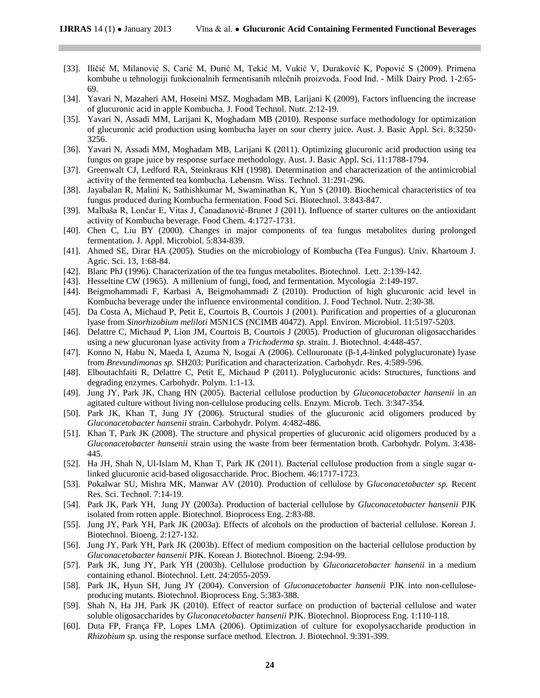- [33]. Iličić M, Milanović S, Carić M, Đurić M, Tekić M, Vukić V, Duraković K, Popović S (2009). Primena kombuhe u tehnologiji funkcionalnih fermentisanih mlečnih proizvoda. Food Ind. - Milk Dairy Prod. 1-2:65- 69.
- [34]. Yavari N, Mazaheri AM, Hoseini MSZ, Moghadam MB, Larijani K (2009). Factors influencing the increase of glucuronic acid in apple Kombucha. J. Food Technol. Nutr. 2:12-19.
- [35]. Yavari N, Assadi MM, Larijani K, Moghadam MB (2010). Response surface methodology for optimization of glucuronic acid production using kombucha layer on sour cherry juice. Aust. J. Basic Appl. Sci. 8:3250- 3256.
- [36]. Yavari N, Assadi MM, Moghadam MB, Larijani K (2011). Optimizing glucuronic acid production using tea fungus on grape juice by response surface methodology. Aust. J. Basic Appl. Sci. 11:1788-1794.
- [37]. Greenwalt CJ, Ledford RA, Steinkraus KH (1998). Determination and characterization of the antimicrobial activity of the fermented tea kombucha. Lebensm. Wiss. Technol. 31:291-296.
- [38]. Jayabalan R, Malini K, Sathishkumar M, Swaminathan K, Yun S (2010). Biochemical characteristics of tea fungus produced during Kombucha fermentation. Food Sci. Biotechnol. 3:843-847.
- [39]. Malbaša R, Lončar E, Vitas J, Čanadanović-Brunet J (2011). Influence of starter cultures on the antioxidant activity of Kombucha beverage. Food Chem. 4:1727-1731.
- [40]. Chen C, Liu BY (2000). Changes in major components of tea fungus metabolites during prolonged fermentation. J. Appl. Microbiol. 5:834-839.
- [41]. Ahmed SE, Dirar HA (2005). Studies on the microbiology of Kombucha (Tea Fungus). Univ. Khartoum J. Agric. Sci. 13, 1:68-84.
- [42]. Blanc PhJ (1996). Characterization of the tea fungus metabolites. Biotechnol. Lett. 2:139-142.
- [43]. Hesseltine CW (1965). A millenium of fungi, food, and fermentation. Mycologia 2:149-197.
- [44]. Beigmohammadi F, Karbasi A, Beigmohammadi Z (2010). Production of high glucuronic acid level in Kombucha beverage under the influence environmental condition. J. Food Technol. Nutr. 2:30-38.
- [45]. Da Costa A, Michaud P, Petit E, Courtois B, Courtois J (2001). Purification and properties of a glucuronan lyase from *Sinorhizobium meliloti* M5N1CS (NCIMB 40472). Appl. Environ. Microbiol. 11:5197-5203.
- [46]. Delattre C, Michaud P, Lion JM, Courtois B, Courtois J (2005). Production of glucuronan oligosaccharides using a new glucuronan lyase activity from a *Trichoderma sp.* strain. J. Biotechnol. 4:448-457.
- [47]. Konno N, Habu N, Maeda I, Azuma N, Isogai A (2006). Cellouronate (β-1,4-linked polyglucuronate) lyase from *Brevundimonas sp.* SH203: Purification and characterization. Carbohydr. Res. 4:589-596.
- [48]. Elboutachfaiti R, Delattre C, Petit E, Michaud P (2011). Polyglucuronic acids: Structures, functions and degrading enzymes. Carbohydr. Polym. 1:1-13.
- [49]. Jung JY, Park JK, Chang HN (2005). Bacterial cellulose production by *Gluconacetobacter hansenii* in an agitated culture without living non-cellulose producing cells. Enzym. Microb. Tech. 3:347-354.
- [50]. Park JK, Khan T, Jung JY (2006). Structural studies of the glucuronic acid oligomers produced by *Gluconacetobacter hansenii* strain. Carbohydr. Polym. 4:482-486.
- [51]. Khan T, Park JK (2008). The structure and physical properties of glucuronic acid oligomers produced by a *Gluconacetobacter hansenii* strain using the waste from beer fermentation broth. Carbohydr. Polym. 3:438- 445.
- [52]. Ha JH, Shah N, Ul-Islam M, Khan T, Park JK (2011). Bacterial cellulose production from a single sugar αlinked glucuronic acid-based oligosaccharide. Proc. Biochem. 46:1717-1723.
- [53]. Pokalwar SU, Mishra MK, Manwar AV (2010). Production of cellulose by G*luconacetobacter sp.* Recent Res. Sci. Technol. 7:14-19.
- [54]. Park JK, Park YH, Jung JY (2003a). Production of bacterial cellulose by *Gluconacetobacter hansenii* PJK isolated from rotten apple. Biotechnol. Bioprocess Eng. 2:83-88.
- [55]. Jung JY, Park YH, Park JK (2003a). Effects of alcohols on the production of bacterial cellulose. Korean J. Biotechnol. Bioeng. 2:127-132.
- [56]. Jung JY, Park YH, Park JK (2003b). Effect of medium composition on the bacterial cellulose production by *Gluconacetobacter hansenii* PJK. Korean J. Biotechnol. Bioeng. 2:94-99.
- [57]. Park JK, Jung JY, Park YH (2003b). Cellulose production by *Gluconacetobacter hansenii* in a medium containing ethanol. Biotechnol. Lett. 24:2055-2059.
- [58]. Park JK, Hyun SH, Jung JY (2004). Conversion of *Gluconacetobacter hansenii* PJK into non-celluloseproducing mutants. Biotechnol. Bioprocess Eng. 5:383-388.
- [59]. Shah N, Ha JH, Park JK (2010). Effect of reactor surface on production of bacterial cellulose and water soluble oligosaccharides by *Gluconacetobacter hansenii* PJK. Biotechnol. Bioprocess Eng. 1:110-118.
- [60]. Duta FP, França FP, Lopes LMA (2006). Optimization of culture for exopolysaccharide production in *Rhizobium sp.* using the response surface method. Electron. J. Biotechnol. 9:391-399.